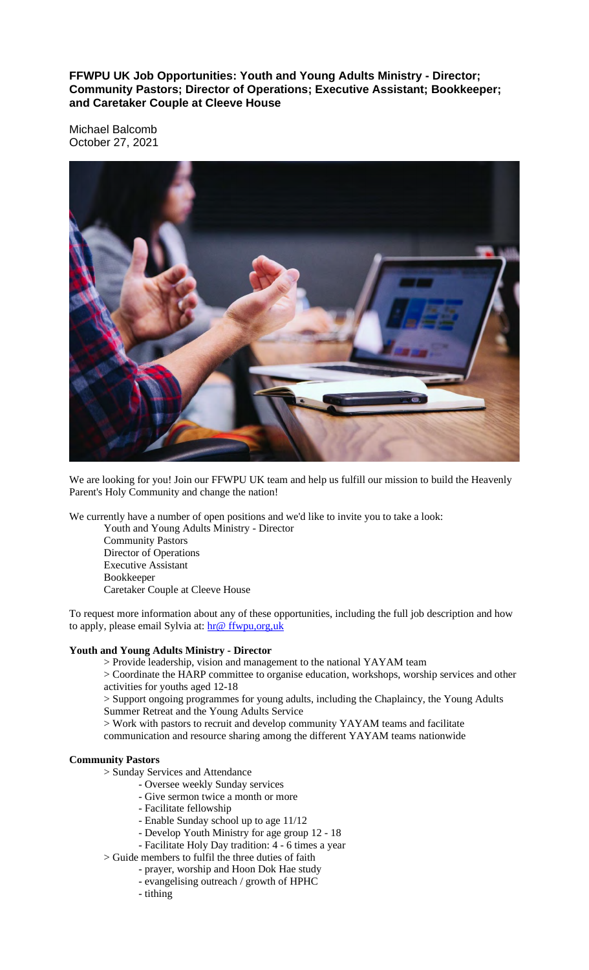**FFWPU UK Job Opportunities: Youth and Young Adults Ministry - Director; Community Pastors; Director of Operations; Executive Assistant; Bookkeeper; and Caretaker Couple at Cleeve House**

Michael Balcomb October 27, 2021



We are looking for you! Join our FFWPU UK team and help us fulfill our mission to build the Heavenly Parent's Holy Community and change the nation!

We currently have a number of open positions and we'd like to invite you to take a look:

Youth and Young Adults Ministry - Director Community Pastors Director of Operations Executive Assistant Bookkeeper Caretaker Couple at Cleeve House

To request more information about any of these opportunities, including the full job description and how to apply, please email Sylvia at:  $hr@ffwpu, org,uk$ 

# **Youth and Young Adults Ministry - Director**

> Provide leadership, vision and management to the national YAYAM team

> Coordinate the HARP committee to organise education, workshops, worship services and other activities for youths aged 12-18

> Support ongoing programmes for young adults, including the Chaplaincy, the Young Adults Summer Retreat and the Young Adults Service

> Work with pastors to recruit and develop community YAYAM teams and facilitate

communication and resource sharing among the different YAYAM teams nationwide

#### **Community Pastors**

> Sunday Services and Attendance

- Oversee weekly Sunday services
	- Give sermon twice a month or more
	- Facilitate fellowship
	- Enable Sunday school up to age 11/12
	- Develop Youth Ministry for age group 12 18
- Facilitate Holy Day tradition: 4 6 times a year
- > Guide members to fulfil the three duties of faith
	- prayer, worship and Hoon Dok Hae study
	- evangelising outreach / growth of HPHC
	- tithing